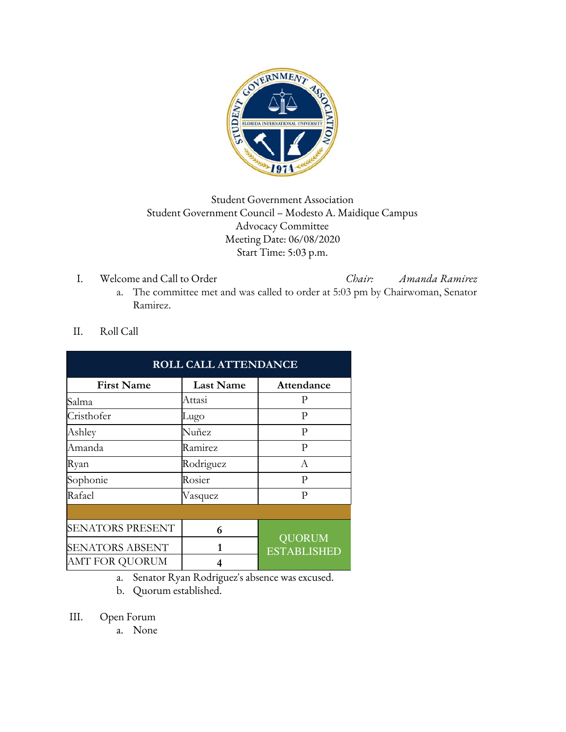

## Student Government Association Student Government Council – Modesto A. Maidique Campus Advocacy Committee Meeting Date: 06/08/2020 Start Time: 5:03 p.m.

I. Welcome and Call to Order *Chair: Amanda Ramirez*

- a. The committee met and was called to order at 5:03 pm by Chairwoman, Senator Ramirez.
- II. Roll Call

| <b>ROLL CALL ATTENDANCE</b> |                  |                                     |  |  |  |
|-----------------------------|------------------|-------------------------------------|--|--|--|
| <b>First Name</b>           | <b>Last Name</b> | Attendance                          |  |  |  |
| Salma                       | Attasi           | P                                   |  |  |  |
| Cristhofer                  | Lugo             | P                                   |  |  |  |
| Ashley                      | Nuñez            | P                                   |  |  |  |
| Amanda                      | Ramirez          | P                                   |  |  |  |
| Ryan                        | Rodriguez        | A                                   |  |  |  |
| Sophonie                    | Rosier           | P                                   |  |  |  |
| Rafael                      | Vasquez          | р                                   |  |  |  |
|                             |                  |                                     |  |  |  |
| <b>SENATORS PRESENT</b>     | 6                | <b>QUORUM</b><br><b>ESTABLISHED</b> |  |  |  |
| <b>SENATORS ABSENT</b>      | 1                |                                     |  |  |  |
| AMT FOR QUORUM              | 4                |                                     |  |  |  |

a. Senator Ryan Rodriguez's absence was excused.

- b. Quorum established.
- III. Open Forum
	- a. None